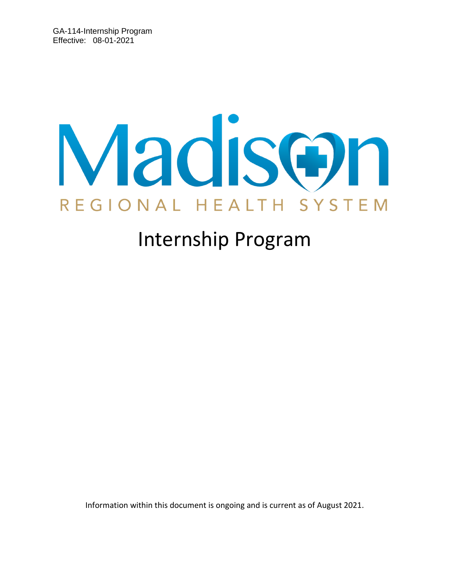# Madison REGIONAL HEALTH SYSTEM

# Internship Program

Information within this document is ongoing and is current as of August 2021.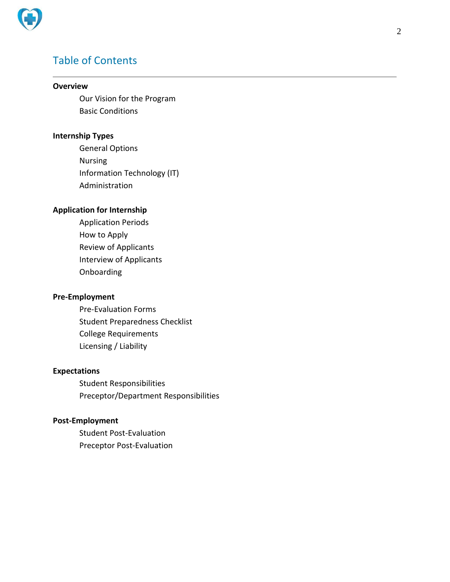

# Table of Contents

#### **Overview**

Our Vision for the Program Basic Conditions

#### **Internship Types**

General Options Nursing Information Technology (IT) Administration

#### **Application for Internship**

Application Periods How to Apply Review of Applicants Interview of Applicants Onboarding

#### **Pre-Employment**

Pre-Evaluation Forms Student Preparedness Checklist College Requirements Licensing / Liability

#### **Expectations**

Student Responsibilities Preceptor/Department Responsibilities

#### **Post-Employment**

Student Post-Evaluation Preceptor Post-Evaluation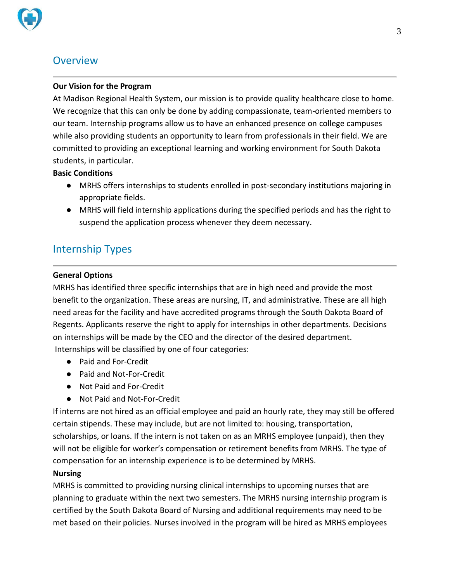

# **Overview**

#### **Our Vision for the Program**

At Madison Regional Health System, our mission is to provide quality healthcare close to home. We recognize that this can only be done by adding compassionate, team-oriented members to our team. Internship programs allow us to have an enhanced presence on college campuses while also providing students an opportunity to learn from professionals in their field. We are committed to providing an exceptional learning and working environment for South Dakota students, in particular.

#### **Basic Conditions**

- MRHS offers internships to students enrolled in post-secondary institutions majoring in appropriate fields.
- MRHS will field internship applications during the specified periods and has the right to suspend the application process whenever they deem necessary.

# Internship Types

#### **General Options**

MRHS has identified three specific internships that are in high need and provide the most benefit to the organization. These areas are nursing, IT, and administrative. These are all high need areas for the facility and have accredited programs through the South Dakota Board of Regents. Applicants reserve the right to apply for internships in other departments. Decisions on internships will be made by the CEO and the director of the desired department. Internships will be classified by one of four categories:

- Paid and For-Credit
- Paid and Not-For-Credit
- Not Paid and For-Credit
- Not Paid and Not-For-Credit

If interns are not hired as an official employee and paid an hourly rate, they may still be offered certain stipends. These may include, but are not limited to: housing, transportation, scholarships, or loans. If the intern is not taken on as an MRHS employee (unpaid), then they will not be eligible for worker's compensation or retirement benefits from MRHS. The type of compensation for an internship experience is to be determined by MRHS.

#### **Nursing**

MRHS is committed to providing nursing clinical internships to upcoming nurses that are planning to graduate within the next two semesters. The MRHS nursing internship program is certified by the South Dakota Board of Nursing and additional requirements may need to be met based on their policies. Nurses involved in the program will be hired as MRHS employees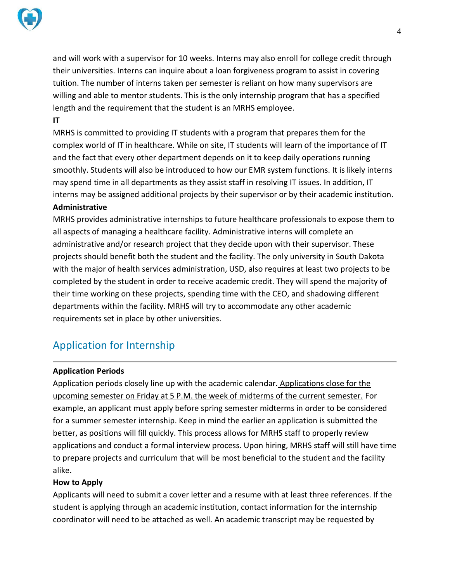

and will work with a supervisor for 10 weeks. Interns may also enroll for college credit through their universities. Interns can inquire about a loan forgiveness program to assist in covering tuition. The number of interns taken per semester is reliant on how many supervisors are willing and able to mentor students. This is the only internship program that has a specified length and the requirement that the student is an MRHS employee.

#### **IT**

MRHS is committed to providing IT students with a program that prepares them for the complex world of IT in healthcare. While on site, IT students will learn of the importance of IT and the fact that every other department depends on it to keep daily operations running smoothly. Students will also be introduced to how our EMR system functions. It is likely interns may spend time in all departments as they assist staff in resolving IT issues. In addition, IT interns may be assigned additional projects by their supervisor or by their academic institution.

#### **Administrative**

MRHS provides administrative internships to future healthcare professionals to expose them to all aspects of managing a healthcare facility. Administrative interns will complete an administrative and/or research project that they decide upon with their supervisor. These projects should benefit both the student and the facility. The only university in South Dakota with the major of health services administration, USD, also requires at least two projects to be completed by the student in order to receive academic credit. They will spend the majority of their time working on these projects, spending time with the CEO, and shadowing different departments within the facility. MRHS will try to accommodate any other academic requirements set in place by other universities.

# Application for Internship

#### **Application Periods**

Application periods closely line up with the academic calendar. Applications close for the upcoming semester on Friday at 5 P.M. the week of midterms of the current semester. For example, an applicant must apply before spring semester midterms in order to be considered for a summer semester internship. Keep in mind the earlier an application is submitted the better, as positions will fill quickly. This process allows for MRHS staff to properly review applications and conduct a formal interview process. Upon hiring, MRHS staff will still have time to prepare projects and curriculum that will be most beneficial to the student and the facility alike.

#### **How to Apply**

Applicants will need to submit a cover letter and a resume with at least three references. If the student is applying through an academic institution, contact information for the internship coordinator will need to be attached as well. An academic transcript may be requested by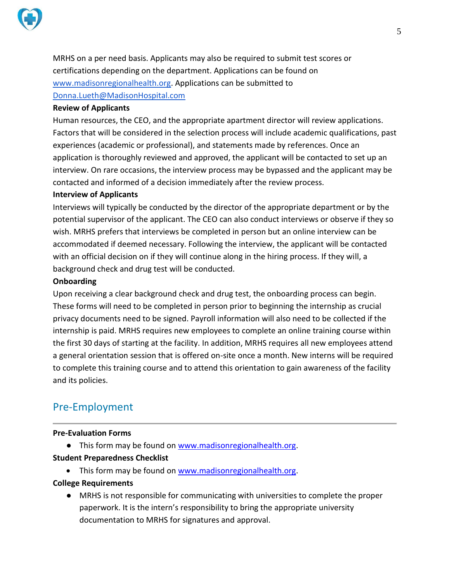

MRHS on a per need basis. Applicants may also be required to submit test scores or certifications depending on the department. Applications can be found on www.madisonregionalhealth.org. Applications can be submitted to Donna.Lueth@MadisonHospital.com

#### **Review of Applicants**

Human resources, the CEO, and the appropriate apartment director will review applications. Factors that will be considered in the selection process will include academic qualifications, past experiences (academic or professional), and statements made by references. Once an application is thoroughly reviewed and approved, the applicant will be contacted to set up an interview. On rare occasions, the interview process may be bypassed and the applicant may be contacted and informed of a decision immediately after the review process.

#### **Interview of Applicants**

Interviews will typically be conducted by the director of the appropriate department or by the potential supervisor of the applicant. The CEO can also conduct interviews or observe if they so wish. MRHS prefers that interviews be completed in person but an online interview can be accommodated if deemed necessary. Following the interview, the applicant will be contacted with an official decision on if they will continue along in the hiring process. If they will, a background check and drug test will be conducted.

#### **Onboarding**

Upon receiving a clear background check and drug test, the onboarding process can begin. These forms will need to be completed in person prior to beginning the internship as crucial privacy documents need to be signed. Payroll information will also need to be collected if the internship is paid. MRHS requires new employees to complete an online training course within the first 30 days of starting at the facility. In addition, MRHS requires all new employees attend a general orientation session that is offered on-site once a month. New interns will be required to complete this training course and to attend this orientation to gain awareness of the facility and its policies.

### Pre-Employment

#### **Pre-Evaluation Forms**

● This form may be found on www.madisonregionalhealth.org.

#### **Student Preparedness Checklist**

• This form may be found on www.madisonregionalhealth.org.

#### **College Requirements**

● MRHS is not responsible for communicating with universities to complete the proper paperwork. It is the intern's responsibility to bring the appropriate university documentation to MRHS for signatures and approval.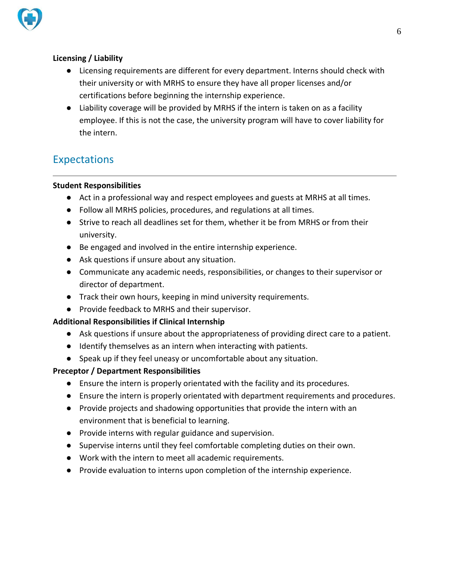

#### **Licensing / Liability**

- Licensing requirements are different for every department. Interns should check with their university or with MRHS to ensure they have all proper licenses and/or certifications before beginning the internship experience.
- Liability coverage will be provided by MRHS if the intern is taken on as a facility employee. If this is not the case, the university program will have to cover liability for the intern.

# Expectations

#### **Student Responsibilities**

- Act in a professional way and respect employees and guests at MRHS at all times.
- Follow all MRHS policies, procedures, and regulations at all times.
- Strive to reach all deadlines set for them, whether it be from MRHS or from their university.
- Be engaged and involved in the entire internship experience.
- Ask questions if unsure about any situation.
- Communicate any academic needs, responsibilities, or changes to their supervisor or director of department.
- Track their own hours, keeping in mind university requirements.
- Provide feedback to MRHS and their supervisor.

#### **Additional Responsibilities if Clinical Internship**

- Ask questions if unsure about the appropriateness of providing direct care to a patient.
- Identify themselves as an intern when interacting with patients.
- Speak up if they feel uneasy or uncomfortable about any situation.

#### **Preceptor / Department Responsibilities**

- Ensure the intern is properly orientated with the facility and its procedures.
- Ensure the intern is properly orientated with department requirements and procedures.
- Provide projects and shadowing opportunities that provide the intern with an environment that is beneficial to learning.
- Provide interns with regular guidance and supervision.
- Supervise interns until they feel comfortable completing duties on their own.
- Work with the intern to meet all academic requirements.
- Provide evaluation to interns upon completion of the internship experience.